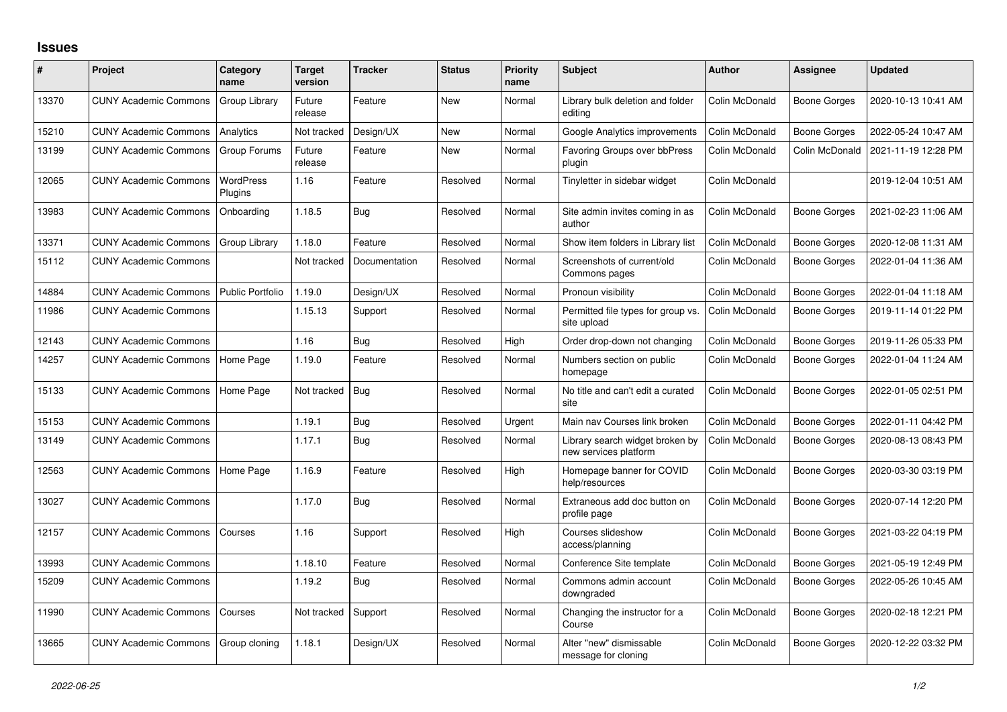## **Issues**

| #     | Project                      | Category<br>name        | <b>Target</b><br>version | <b>Tracker</b> | <b>Status</b> | <b>Priority</b><br>name | <b>Subject</b>                                           | <b>Author</b>  | Assignee            | <b>Updated</b>      |
|-------|------------------------------|-------------------------|--------------------------|----------------|---------------|-------------------------|----------------------------------------------------------|----------------|---------------------|---------------------|
| 13370 | <b>CUNY Academic Commons</b> | Group Library           | Future<br>release        | Feature        | <b>New</b>    | Normal                  | Library bulk deletion and folder<br>editing              | Colin McDonald | <b>Boone Gorges</b> | 2020-10-13 10:41 AM |
| 15210 | <b>CUNY Academic Commons</b> | Analytics               | Not tracked              | Design/UX      | <b>New</b>    | Normal                  | Google Analytics improvements                            | Colin McDonald | Boone Gorges        | 2022-05-24 10:47 AM |
| 13199 | <b>CUNY Academic Commons</b> | Group Forums            | Future<br>release        | Feature        | New           | Normal                  | <b>Favoring Groups over bbPress</b><br>plugin            | Colin McDonald | Colin McDonald      | 2021-11-19 12:28 PM |
| 12065 | <b>CUNY Academic Commons</b> | WordPress<br>Plugins    | 1.16                     | Feature        | Resolved      | Normal                  | Tinyletter in sidebar widget                             | Colin McDonald |                     | 2019-12-04 10:51 AM |
| 13983 | <b>CUNY Academic Commons</b> | Onboarding              | 1.18.5                   | Bug            | Resolved      | Normal                  | Site admin invites coming in as<br>author                | Colin McDonald | <b>Boone Gorges</b> | 2021-02-23 11:06 AM |
| 13371 | <b>CUNY Academic Commons</b> | Group Library           | 1.18.0                   | Feature        | Resolved      | Normal                  | Show item folders in Library list                        | Colin McDonald | Boone Gorges        | 2020-12-08 11:31 AM |
| 15112 | <b>CUNY Academic Commons</b> |                         | Not tracked              | Documentation  | Resolved      | Normal                  | Screenshots of current/old<br>Commons pages              | Colin McDonald | Boone Gorges        | 2022-01-04 11:36 AM |
| 14884 | <b>CUNY Academic Commons</b> | <b>Public Portfolio</b> | 1.19.0                   | Design/UX      | Resolved      | Normal                  | Pronoun visibility                                       | Colin McDonald | Boone Gorges        | 2022-01-04 11:18 AM |
| 11986 | <b>CUNY Academic Commons</b> |                         | 1.15.13                  | Support        | Resolved      | Normal                  | Permitted file types for group vs.<br>site upload        | Colin McDonald | Boone Gorges        | 2019-11-14 01:22 PM |
| 12143 | <b>CUNY Academic Commons</b> |                         | 1.16                     | Bug            | Resolved      | High                    | Order drop-down not changing                             | Colin McDonald | Boone Gorges        | 2019-11-26 05:33 PM |
| 14257 | <b>CUNY Academic Commons</b> | Home Page               | 1.19.0                   | Feature        | Resolved      | Normal                  | Numbers section on public<br>homepage                    | Colin McDonald | Boone Gorges        | 2022-01-04 11:24 AM |
| 15133 | <b>CUNY Academic Commons</b> | Home Page               | Not tracked              | <b>Bug</b>     | Resolved      | Normal                  | No title and can't edit a curated<br>site                | Colin McDonald | Boone Gorges        | 2022-01-05 02:51 PM |
| 15153 | <b>CUNY Academic Commons</b> |                         | 1.19.1                   | Bug            | Resolved      | Urgent                  | Main nav Courses link broken                             | Colin McDonald | Boone Gorges        | 2022-01-11 04:42 PM |
| 13149 | <b>CUNY Academic Commons</b> |                         | 1.17.1                   | Bug            | Resolved      | Normal                  | Library search widget broken by<br>new services platform | Colin McDonald | Boone Gorges        | 2020-08-13 08:43 PM |
| 12563 | <b>CUNY Academic Commons</b> | Home Page               | 1.16.9                   | Feature        | Resolved      | High                    | Homepage banner for COVID<br>help/resources              | Colin McDonald | Boone Gorges        | 2020-03-30 03:19 PM |
| 13027 | <b>CUNY Academic Commons</b> |                         | 1.17.0                   | Bug            | Resolved      | Normal                  | Extraneous add doc button on<br>profile page             | Colin McDonald | Boone Gorges        | 2020-07-14 12:20 PM |
| 12157 | <b>CUNY Academic Commons</b> | Courses                 | 1.16                     | Support        | Resolved      | High                    | Courses slideshow<br>access/planning                     | Colin McDonald | Boone Gorges        | 2021-03-22 04:19 PM |
| 13993 | <b>CUNY Academic Commons</b> |                         | 1.18.10                  | Feature        | Resolved      | Normal                  | Conference Site template                                 | Colin McDonald | <b>Boone Gorges</b> | 2021-05-19 12:49 PM |
| 15209 | <b>CUNY Academic Commons</b> |                         | 1.19.2                   | Bug            | Resolved      | Normal                  | Commons admin account<br>downgraded                      | Colin McDonald | Boone Gorges        | 2022-05-26 10:45 AM |
| 11990 | <b>CUNY Academic Commons</b> | Courses                 | Not tracked              | Support        | Resolved      | Normal                  | Changing the instructor for a<br>Course                  | Colin McDonald | Boone Gorges        | 2020-02-18 12:21 PM |
| 13665 | <b>CUNY Academic Commons</b> | Group cloning           | 1.18.1                   | Design/UX      | Resolved      | Normal                  | Alter "new" dismissable<br>message for cloning           | Colin McDonald | Boone Gorges        | 2020-12-22 03:32 PM |